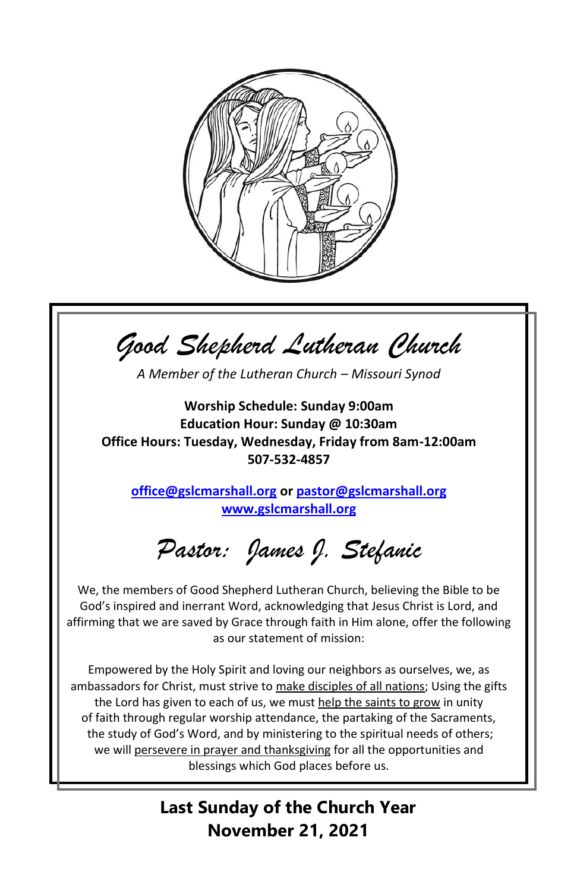

*Good Shepherd Lutheran Church A Member of the Lutheran Church – Missouri Synod* **Worship Schedule: Sunday 9:00am Education Hour: Sunday @ 10:30am Office Hours: Tuesday, Wednesday, Friday from 8am-12:00am 507-532-4857 [office@gslcmarshall.org](mailto:office@gslcmarshall.org) o[r pastor@gslcmarshall.org](mailto:pastor@gslcmarshall.org) [www.gslcmarshall.org](http://www.gslcmarshall.org/)** *Pastor: James J. Stefanic* We, the members of Good Shepherd Lutheran Church, believing the Bible to be God's inspired and inerrant Word, acknowledging that Jesus Christ is Lord, and affirming that we are saved by Grace through faith in Him alone, offer the following as our statement of mission: Empowered by the Holy Spirit and loving our neighbors as ourselves, we, as ambassadors for Christ, must strive to make disciples of all nations; Using the gifts the Lord has given to each of us, we must help the saints to grow in unity of faith through regular worship attendance, the partaking of the Sacraments, the study of God's Word, and by ministering to the spiritual needs of others; we will persevere in prayer and thanksgiving for all the opportunities and blessings which God places before us.

**Last Sunday of the Church Year November 21, 2021**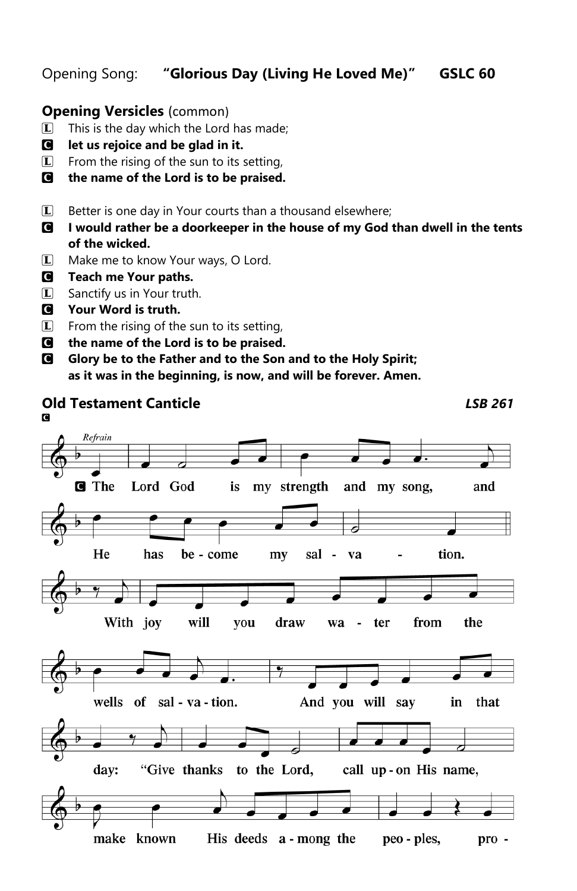## Opening Song: **"Glorious Day (Living He Loved Me)" GSLC 60**

## **Opening Versicles** (common)

- $\Box$  This is the day which the Lord has made;
- C **let us rejoice and be glad in it.**
- $\mathbb{L}$  From the rising of the sun to its setting,
- C **the name of the Lord is to be praised.**
- $\Box$  Better is one day in Your courts than a thousand elsewhere;
- C **I would rather be a doorkeeper in the house of my God than dwell in the tents of the wicked.**

**Old Testament Canticle** *LSB 261*

- L Make me to know Your ways, O Lord.
- C **Teach me Your paths.**
- **L** Sanctify us in Your truth.
- C **Your Word is truth.**
- **L** From the rising of the sun to its setting,
- C **the name of the Lord is to be praised.**
- C **Glory be to the Father and to the Son and to the Holy Spirit; as it was in the beginning, is now, and will be forever. Amen.**

#### CRefrain **G** The Lord God is my strength and my song, and He has be - come  $m<sub>V</sub>$ sal - va tion. With joy will you draw from the wa ter  $\overline{\phantom{a}}$ wells of sal - va - tion. And you will say in that day: "Give thanks to the Lord, call up-on His name,

His deeds a - mong the make known peo - ples,  $pro -$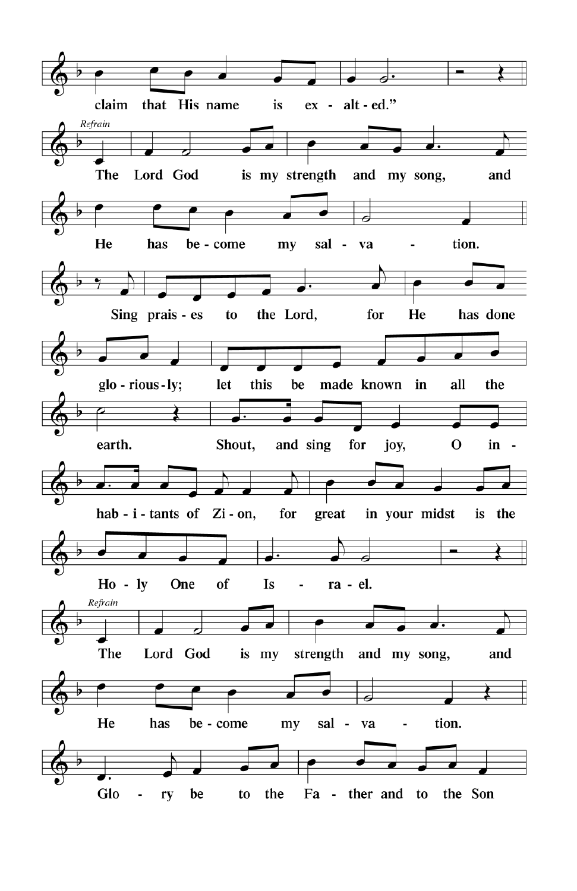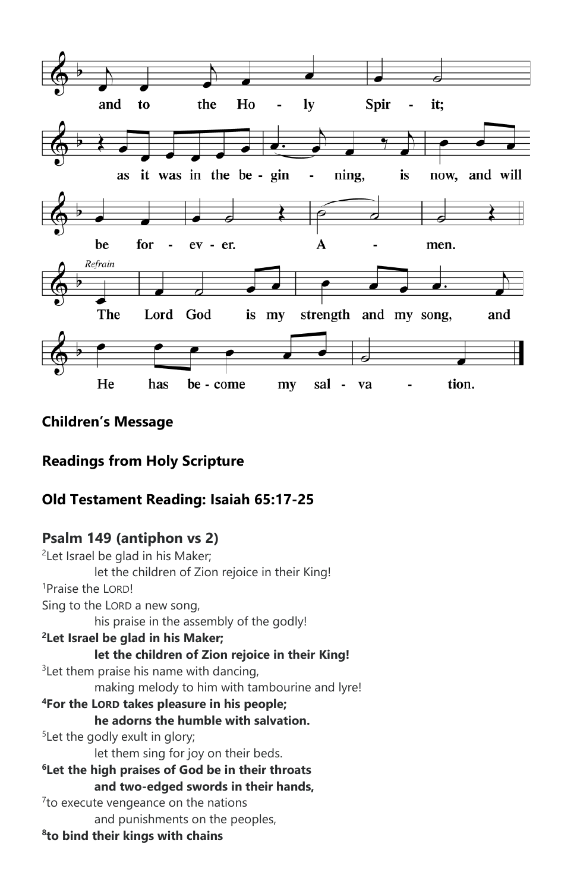

# **Children's Message**

## **Readings from Holy Scripture**

## **Old Testament Reading: Isaiah 65:17-25**

## **Psalm 149 (antiphon vs 2)**

<sup>2</sup>Let Israel be glad in his Maker; let the children of Zion rejoice in their King! <sup>1</sup>Praise the LORD! Sing to the LORD a new song, his praise in the assembly of the godly! **<sup>2</sup>Let Israel be glad in his Maker; let the children of Zion rejoice in their King!**  $3$ Let them praise his name with dancing, making melody to him with tambourine and lyre! **<sup>4</sup>For the LORD takes pleasure in his people; he adorns the humble with salvation.** <sup>5</sup>Let the godly exult in glory; let them sing for joy on their beds. **<sup>6</sup>Let the high praises of God be in their throats and two-edged swords in their hands,** <sup>7</sup> to execute vengeance on the nations and punishments on the peoples, **8 to bind their kings with chains**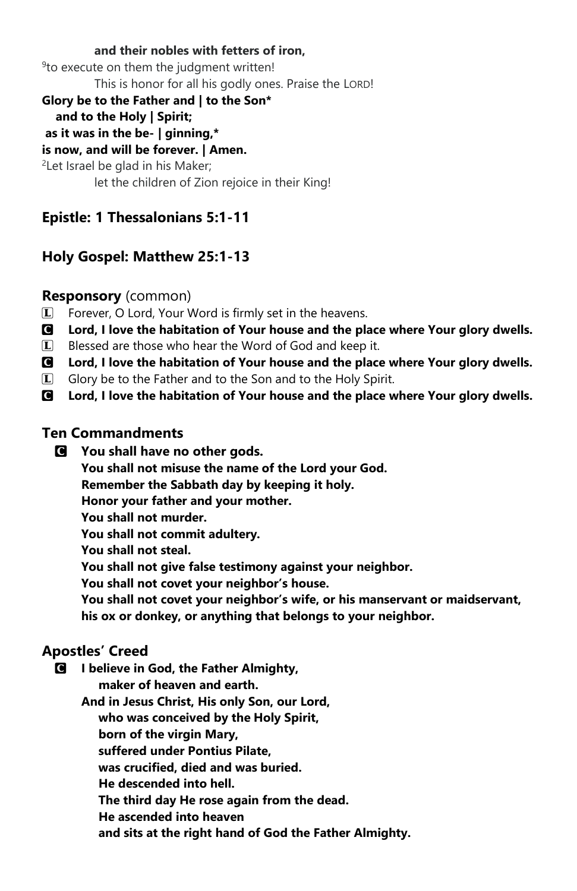#### **and their nobles with fetters of iron,**

<sup>9</sup> to execute on them the judgment written!

This is honor for all his godly ones. Praise the LORD!

#### **Glory be to the Father and | to the Son\***

#### **and to the Holy | Spirit;**

**as it was in the be- | ginning,\*** 

# **is now, and will be forever. | Amen.**

<sup>2</sup>Let Israel be glad in his Maker; let the children of Zion rejoice in their King!

# **Epistle: 1 Thessalonians 5:1-11**

## **Holy Gospel: Matthew 25:1-13**

## **Responsory** (common)

L Forever, O Lord, Your Word is firmly set in the heavens.

- C **Lord, I love the habitation of Your house and the place where Your glory dwells.**
- $\Box$  Blessed are those who hear the Word of God and keep it.
- C **Lord, I love the habitation of Your house and the place where Your glory dwells.**
- L Glory be to the Father and to the Son and to the Holy Spirit.
- C **Lord, I love the habitation of Your house and the place where Your glory dwells.**

## **Ten Commandments**

C **You shall have no other gods.**

**You shall not misuse the name of the Lord your God.**

**Remember the Sabbath day by keeping it holy.**

**Honor your father and your mother.**

**You shall not murder.**

**You shall not commit adultery.**

**You shall not steal.**

**You shall not give false testimony against your neighbor.**

**You shall not covet your neighbor's house.**

**You shall not covet your neighbor's wife, or his manservant or maidservant, his ox or donkey, or anything that belongs to your neighbor.**

## **Apostles' Creed**

C **I believe in God, the Father Almighty,**

 **maker of heaven and earth.**

**And in Jesus Christ, His only Son, our Lord,**

 **who was conceived by the Holy Spirit,**

 **born of the virgin Mary,**

 **suffered under Pontius Pilate,**

 **was crucified, died and was buried.**

 **He descended into hell.**

 **The third day He rose again from the dead.**

 **He ascended into heaven**

 **and sits at the right hand of God the Father Almighty.**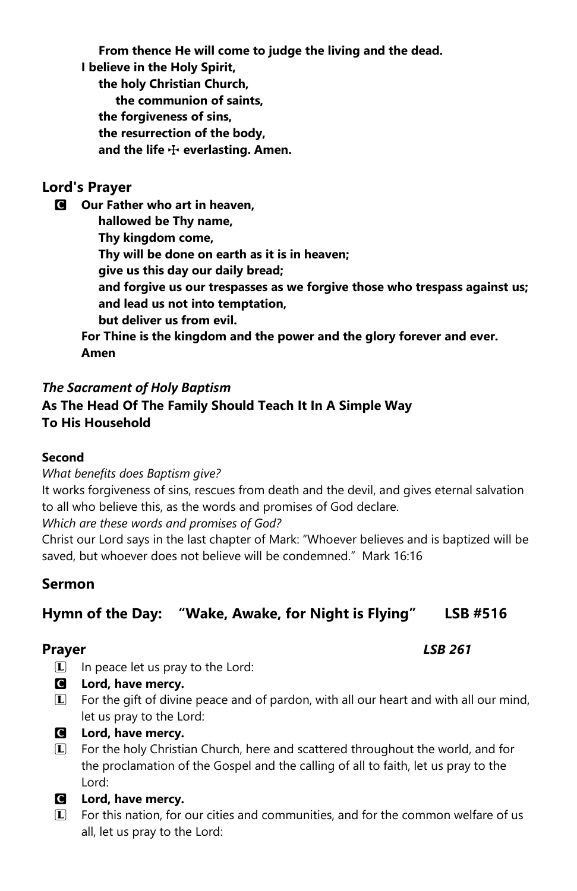**From thence He will come to judge the living and the dead.**

**I believe in the Holy Spirit,**

 **the holy Christian Church, the communion of saints, the forgiveness of sins, the resurrection of the body,** and the life  $\div$  everlasting. Amen.

## **Lord's Prayer**

C **Our Father who art in heaven, hallowed be Thy name, Thy kingdom come, Thy will be done on earth as it is in heaven; give us this day our daily bread; and forgive us our trespasses as we forgive those who trespass against us; and lead us not into temptation, but deliver us from evil. For Thine is the kingdom and the power and the glory forever and ever.** 

**Amen**

# *The Sacrament of Holy Baptism* **As The Head Of The Family Should Teach It In A Simple Way To His Household**

## **Second**

*What benefits does Baptism give?*

It works forgiveness of sins, rescues from death and the devil, and gives eternal salvation to all who believe this, as the words and promises of God declare.

*Which are these words and promises of God?*

Christ our Lord says in the last chapter of Mark: "Whoever believes and is baptized will be saved, but whoever does not believe will be condemned." Mark 16:16

# **Sermon**

# **Hymn of the Day: "Wake, Awake, for Night is Flying" LSB #516**

- $\Box$  In peace let us pray to the Lord:
- C **Lord, have mercy.**
- L For the gift of divine peace and of pardon, with all our heart and with all our mind, let us pray to the Lord:
- C **Lord, have mercy.**
- L For the holy Christian Church, here and scattered throughout the world, and for the proclamation of the Gospel and the calling of all to faith, let us pray to the Lord:
- C **Lord, have mercy.**
- L For this nation, for our cities and communities, and for the common welfare of us all, let us pray to the Lord:

**Prayer** *LSB 261*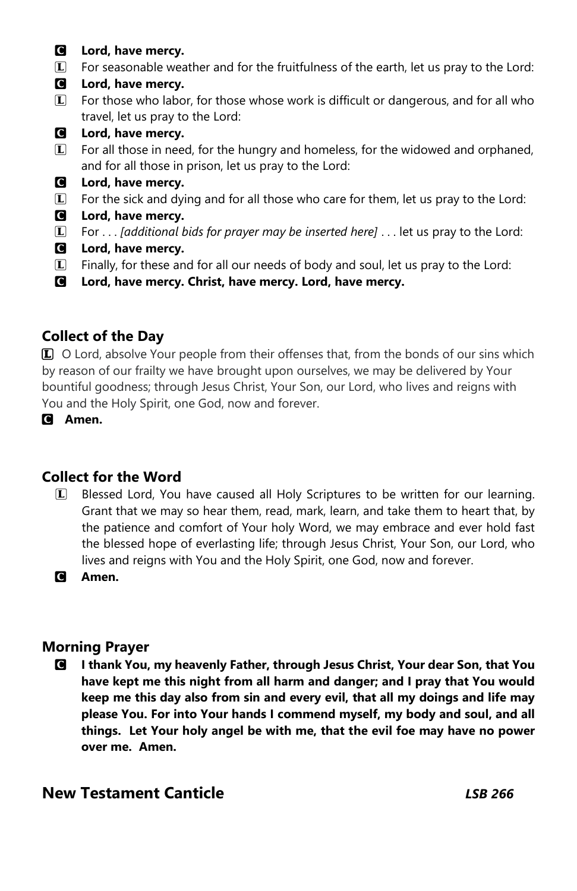- C **Lord, have mercy.**
- $\Box$  For seasonable weather and for the fruitfulness of the earth, let us pray to the Lord:
- C **Lord, have mercy.**
- $\mathbb{L}$  For those who labor, for those whose work is difficult or dangerous, and for all who travel, let us pray to the Lord:
- C **Lord, have mercy.**
- L For all those in need, for the hungry and homeless, for the widowed and orphaned, and for all those in prison, let us pray to the Lord:
- C **Lord, have mercy.**
- $\vert \mathbf{L} \vert$  For the sick and dying and for all those who care for them, let us pray to the Lord:
- C **Lord, have mercy.**
- L For . . . *[additional bids for prayer may be inserted here]* . . . let us pray to the Lord:
- C **Lord, have mercy.**
- $\Box$  Finally, for these and for all our needs of body and soul, let us pray to the Lord:
- C **Lord, have mercy. Christ, have mercy. Lord, have mercy.**

## **Collect of the Day**

**L** O Lord, absolve Your people from their offenses that, from the bonds of our sins which by reason of our frailty we have brought upon ourselves, we may be delivered by Your bountiful goodness; through Jesus Christ, Your Son, our Lord, who lives and reigns with You and the Holy Spirit, one God, now and forever.

C **Amen.**

## **Collect for the Word**

L Blessed Lord, You have caused all Holy Scriptures to be written for our learning. Grant that we may so hear them, read, mark, learn, and take them to heart that, by the patience and comfort of Your holy Word, we may embrace and ever hold fast the blessed hope of everlasting life; through Jesus Christ, Your Son, our Lord, who lives and reigns with You and the Holy Spirit, one God, now and forever.

C **Amen.**

## **Morning Prayer**

C **I thank You, my heavenly Father, through Jesus Christ, Your dear Son, that You have kept me this night from all harm and danger; and I pray that You would keep me this day also from sin and every evil, that all my doings and life may please You. For into Your hands I commend myself, my body and soul, and all things. Let Your holy angel be with me, that the evil foe may have no power over me. Amen.** 

## **New Testament Canticle** *LSB 266*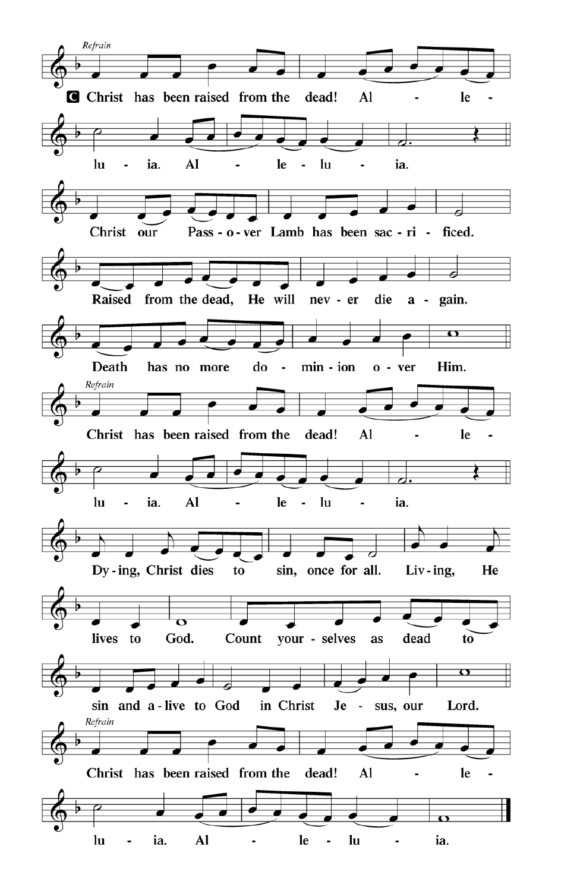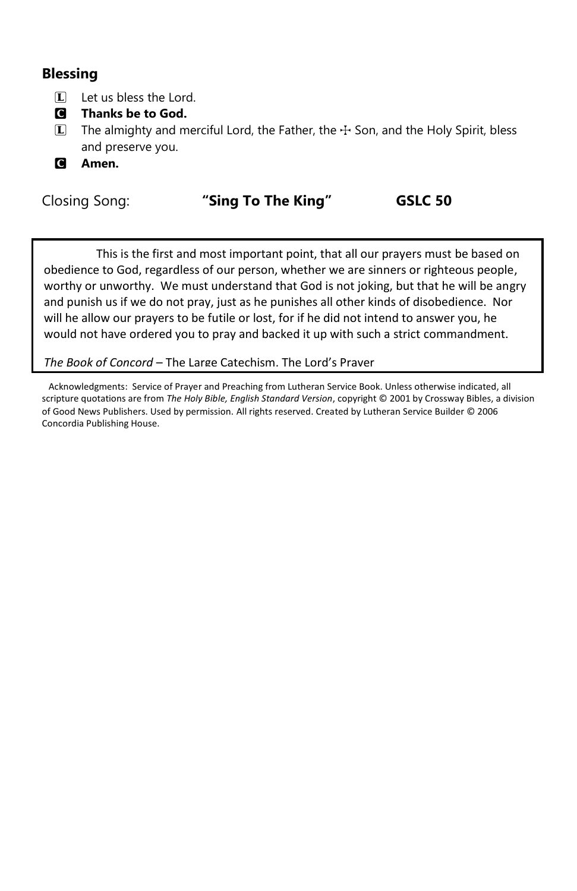# **Blessing**

- $\Box$  Let us bless the Lord.
- C **Thanks be to God.**
- $\bar{L}$  The almighty and merciful Lord, the Father, the  $\pm$  Son, and the Holy Spirit, bless and preserve you.
- C **Amen.**

## Closing Song: **"Sing To The King" GSLC 50**

This is the first and most important point, that all our prayers must be based on obedience to God, regardless of our person, whether we are sinners or righteous people, worthy or unworthy. We must understand that God is not joking, but that he will be angry and punish us if we do not pray, just as he punishes all other kinds of disobedience. Nor will he allow our prayers to be futile or lost, for if he did not intend to answer you, he would not have ordered you to pray and backed it up with such a strict commandment.

## *The Book of Concord* – The Large Catechism, The Lord's Prayer

 Acknowledgments: Service of Prayer and Preaching from Lutheran Service Book. Unless otherwise indicated, all scripture quotations are from *The Holy Bible, English Standard Version*, copyright © 2001 by Crossway Bibles, a division of Good News Publishers. Used by permission. All rights reserved. Created by Lutheran Service Builder © 2006 Concordia Publishing House.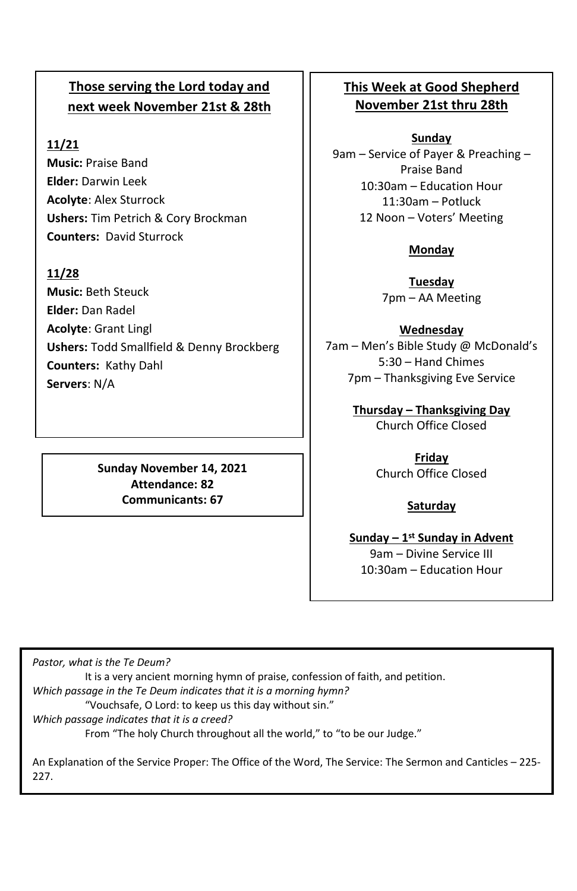# **Those serving the Lord today and next week November 21st & 28th**

## **11/21**

**Music:** Praise Band **Elder:** Darwin Leek **Acolyte**: Alex Sturrock **Ushers:** Tim Petrich & Cory Brockman **Counters:** David Sturrock

## **11/28**

**Music:** Beth Steuck **Elder:** Dan Radel **Acolyte**: Grant Lingl **Ushers:** Todd Smallfield & Denny Brockberg **Counters:** Kathy Dahl **Servers**: N/A

## **Sunday November 14, 2021 Attendance: 82 Communicants: 67**

## **This Week at Good Shepherd November 21st thru 28th**

#### **Sunday**

9am – Service of Payer & Preaching – Praise Band 10:30am – Education Hour 11:30am – Potluck 12 Noon – Voters' Meeting

## **Monday**

**Tuesday** 7pm – AA Meeting

## **Wednesday**

7am – Men's Bible Study @ McDonald's 5:30 – Hand Chimes 7pm – Thanksgiving Eve Service

> **Thursday – Thanksgiving Day** Church Office Closed

> > **Friday** Church Office Closed

#### **Saturday**

**Sunday – 1 st Sunday in Advent** 9am – Divine Service III 10:30am – Education Hour

*Pastor, what is the Te Deum?* It is a very ancient morning hymn of praise, confession of faith, and petition. *Which passage in the Te Deum indicates that it is a morning hymn?* "Vouchsafe, O Lord: to keep us this day without sin." *Which passage indicates that it is a creed?* From "The holy Church throughout all the world," to "to be our Judge."

An Explanation of the Service Proper: The Office of the Word, The Service: The Sermon and Canticles – 225- 227.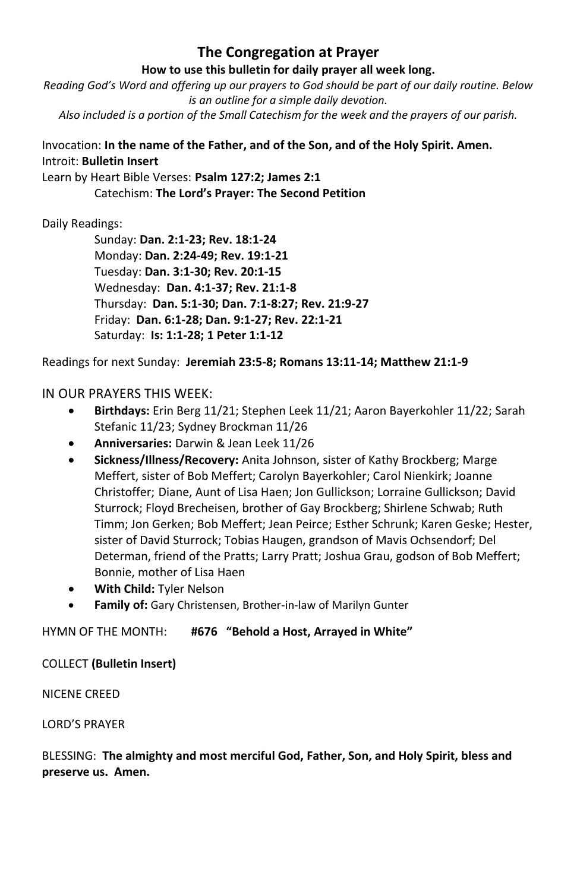## **The Congregation at Prayer**

#### **How to use this bulletin for daily prayer all week long.**

*Reading God's Word and offering up our prayers to God should be part of our daily routine. Below is an outline for a simple daily devotion. Also included is a portion of the Small Catechism for the week and the prayers of our parish.*

## Invocation: **In the name of the Father, and of the Son, and of the Holy Spirit. Amen.** Introit: **Bulletin Insert**

Learn by Heart Bible Verses: **Psalm 127:2; James 2:1**

Catechism: **The Lord's Prayer: The Second Petition**

## Daily Readings:

Sunday: **Dan. 2:1-23; Rev. 18:1-24** Monday: **Dan. 2:24-49; Rev. 19:1-21** Tuesday: **Dan. 3:1-30; Rev. 20:1-15** Wednesday: **Dan. 4:1-37; Rev. 21:1-8** Thursday: **Dan. 5:1-30; Dan. 7:1-8:27; Rev. 21:9-27** Friday: **Dan. 6:1-28; Dan. 9:1-27; Rev. 22:1-21** Saturday: **Is: 1:1-28; 1 Peter 1:1-12**

Readings for next Sunday: **Jeremiah 23:5-8; Romans 13:11-14; Matthew 21:1-9**

## IN OUR PRAYERS THIS WEEK:

- **Birthdays:** Erin Berg 11/21; Stephen Leek 11/21; Aaron Bayerkohler 11/22; Sarah Stefanic 11/23; Sydney Brockman 11/26
- **Anniversaries:** Darwin & Jean Leek 11/26
- **Sickness/Illness/Recovery:** Anita Johnson, sister of Kathy Brockberg; Marge Meffert, sister of Bob Meffert; Carolyn Bayerkohler; Carol Nienkirk; Joanne Christoffer; Diane, Aunt of Lisa Haen; Jon Gullickson; Lorraine Gullickson; David Sturrock; Floyd Brecheisen, brother of Gay Brockberg; Shirlene Schwab; Ruth Timm; Jon Gerken; Bob Meffert; Jean Peirce; Esther Schrunk; Karen Geske; Hester, sister of David Sturrock; Tobias Haugen, grandson of Mavis Ochsendorf; Del Determan, friend of the Pratts; Larry Pratt; Joshua Grau, godson of Bob Meffert; Bonnie, mother of Lisa Haen
- **With Child:** Tyler Nelson
- **Family of:** Gary Christensen, Brother-in-law of Marilyn Gunter

#### HYMN OF THE MONTH: **#676 "Behold a Host, Arrayed in White"**

#### COLLECT **(Bulletin Insert)**

#### NICENE CREED

#### LORD'S PRAYER

## BLESSING: **The almighty and most merciful God, Father, Son, and Holy Spirit, bless and preserve us. Amen.**